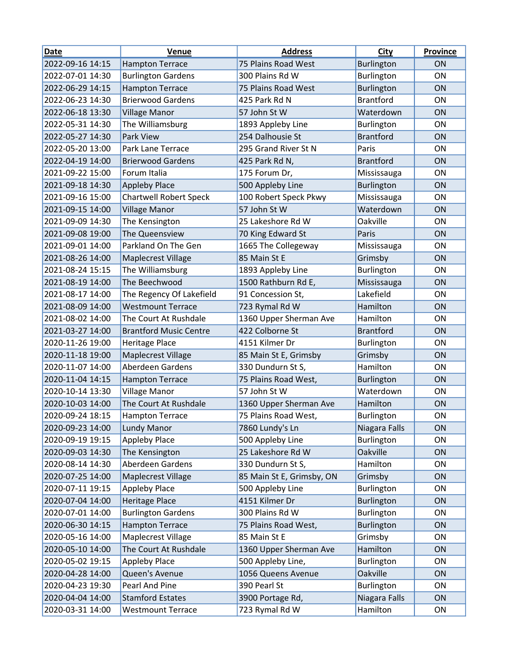| <b>Date</b>      | Venue                         | <b>Address</b>            | <b>City</b>       | <b>Province</b> |
|------------------|-------------------------------|---------------------------|-------------------|-----------------|
| 2022-09-16 14:15 | <b>Hampton Terrace</b>        | 75 Plains Road West       | <b>Burlington</b> | <b>ON</b>       |
| 2022-07-01 14:30 | <b>Burlington Gardens</b>     | 300 Plains Rd W           | Burlington        | ON              |
| 2022-06-29 14:15 | <b>Hampton Terrace</b>        | 75 Plains Road West       | <b>Burlington</b> | ON              |
| 2022-06-23 14:30 | <b>Brierwood Gardens</b>      | 425 Park Rd N             | <b>Brantford</b>  | ON              |
| 2022-06-18 13:30 | <b>Village Manor</b>          | 57 John St W              | Waterdown         | ON              |
| 2022-05-31 14:30 | The Williamsburg              | 1893 Appleby Line         | Burlington        | ON              |
| 2022-05-27 14:30 | <b>Park View</b>              | 254 Dalhousie St          | <b>Brantford</b>  | ON              |
| 2022-05-20 13:00 | <b>Park Lane Terrace</b>      | 295 Grand River St N      | Paris             | <b>ON</b>       |
| 2022-04-19 14:00 | <b>Brierwood Gardens</b>      | 425 Park Rd N,            | <b>Brantford</b>  | ON              |
| 2021-09-22 15:00 | Forum Italia                  | 175 Forum Dr,             | Mississauga       | ON              |
| 2021-09-18 14:30 | <b>Appleby Place</b>          | 500 Appleby Line          | <b>Burlington</b> | ON              |
| 2021-09-16 15:00 | <b>Chartwell Robert Speck</b> | 100 Robert Speck Pkwy     | Mississauga       | <b>ON</b>       |
| 2021-09-15 14:00 | <b>Village Manor</b>          | 57 John St W              | Waterdown         | <b>ON</b>       |
| 2021-09-09 14:30 | The Kensington                | 25 Lakeshore Rd W         | Oakville          | ON              |
| 2021-09-08 19:00 | The Queensview                | 70 King Edward St         | Paris             | ON              |
| 2021-09-01 14:00 | Parkland On The Gen           | 1665 The Collegeway       | Mississauga       | ON              |
| 2021-08-26 14:00 | <b>Maplecrest Village</b>     | 85 Main St E              | Grimsby           | ON              |
| 2021-08-24 15:15 | The Williamsburg              | 1893 Appleby Line         | Burlington        | <b>ON</b>       |
| 2021-08-19 14:00 | The Beechwood                 | 1500 Rathburn Rd E,       | Mississauga       | ON              |
| 2021-08-17 14:00 | The Regency Of Lakefield      | 91 Concession St,         | Lakefield         | <b>ON</b>       |
| 2021-08-09 14:00 | <b>Westmount Terrace</b>      | 723 Rymal Rd W            | Hamilton          | ON              |
| 2021-08-02 14:00 | The Court At Rushdale         | 1360 Upper Sherman Ave    | Hamilton          | <b>ON</b>       |
| 2021-03-27 14:00 | <b>Brantford Music Centre</b> | 422 Colborne St           | <b>Brantford</b>  | ON              |
| 2020-11-26 19:00 | Heritage Place                | 4151 Kilmer Dr            | Burlington        | ON              |
| 2020-11-18 19:00 | Maplecrest Village            | 85 Main St E, Grimsby     | Grimsby           | ON              |
| 2020-11-07 14:00 | Aberdeen Gardens              | 330 Dundurn St S,         | Hamilton          | ON              |
| 2020-11-04 14:15 | <b>Hampton Terrace</b>        | 75 Plains Road West,      | <b>Burlington</b> | ON              |
| 2020-10-14 13:30 | <b>Village Manor</b>          | 57 John St W              | Waterdown         | ON              |
| 2020-10-03 14:00 | The Court At Rushdale         | 1360 Upper Sherman Ave    | Hamilton          | ON              |
| 2020-09-24 18:15 | <b>Hampton Terrace</b>        | 75 Plains Road West,      | Burlington        | ON              |
| 2020-09-23 14:00 | Lundy Manor                   | 7860 Lundy's Ln           | Niagara Falls     | ON              |
| 2020-09-19 19:15 | <b>Appleby Place</b>          | 500 Appleby Line          | Burlington        | ON              |
| 2020-09-03 14:30 | The Kensington                | 25 Lakeshore Rd W         | Oakville          | ON              |
| 2020-08-14 14:30 | Aberdeen Gardens              | 330 Dundurn St S,         | Hamilton          | ON              |
| 2020-07-25 14:00 | Maplecrest Village            | 85 Main St E, Grimsby, ON | Grimsby           | ON              |
| 2020-07-11 19:15 | <b>Appleby Place</b>          | 500 Appleby Line          | Burlington        | ON              |
| 2020-07-04 14:00 | <b>Heritage Place</b>         | 4151 Kilmer Dr            | <b>Burlington</b> | ON              |
| 2020-07-01 14:00 | <b>Burlington Gardens</b>     | 300 Plains Rd W           | Burlington        | ON              |
| 2020-06-30 14:15 | <b>Hampton Terrace</b>        | 75 Plains Road West,      | Burlington        | ON              |
| 2020-05-16 14:00 | Maplecrest Village            | 85 Main St E              | Grimsby           | ON              |
| 2020-05-10 14:00 | The Court At Rushdale         | 1360 Upper Sherman Ave    | Hamilton          | ON              |
| 2020-05-02 19:15 | <b>Appleby Place</b>          | 500 Appleby Line,         | Burlington        | ON              |
| 2020-04-28 14:00 | Queen's Avenue                | 1056 Queens Avenue        | Oakville          | ON              |
| 2020-04-23 19:30 | Pearl And Pine                | 390 Pearl St              | Burlington        | ON              |
| 2020-04-04 14:00 | <b>Stamford Estates</b>       | 3900 Portage Rd,          | Niagara Falls     | ON              |
| 2020-03-31 14:00 | <b>Westmount Terrace</b>      | 723 Rymal Rd W            | Hamilton          | ON              |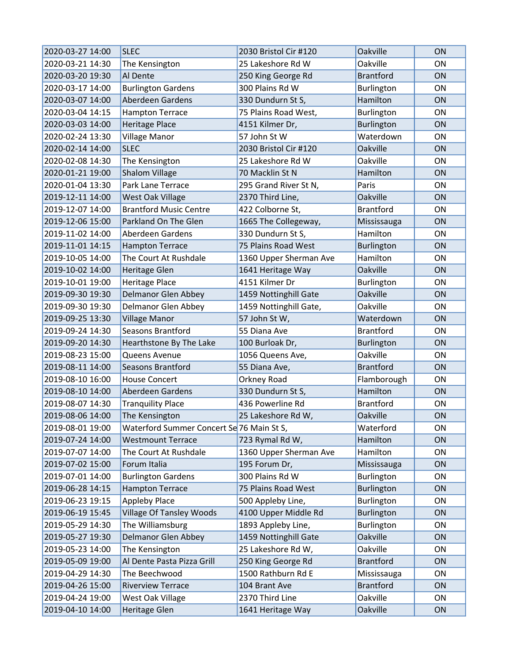| 2020-03-27 14:00 | <b>SLEC</b>                               | 2030 Bristol Cir #120  | Oakville          | <b>ON</b> |
|------------------|-------------------------------------------|------------------------|-------------------|-----------|
| 2020-03-21 14:30 | The Kensington                            | 25 Lakeshore Rd W      | Oakville          | <b>ON</b> |
| 2020-03-20 19:30 | Al Dente                                  | 250 King George Rd     | <b>Brantford</b>  | ON        |
| 2020-03-17 14:00 | <b>Burlington Gardens</b>                 | 300 Plains Rd W        | Burlington        | ON        |
| 2020-03-07 14:00 | Aberdeen Gardens                          | 330 Dundurn St S,      | Hamilton          | ON        |
| 2020-03-04 14:15 | <b>Hampton Terrace</b>                    | 75 Plains Road West,   | Burlington        | ON        |
| 2020-03-03 14:00 | <b>Heritage Place</b>                     | 4151 Kilmer Dr,        | <b>Burlington</b> | ON        |
| 2020-02-24 13:30 | <b>Village Manor</b>                      | 57 John St W           | Waterdown         | ON        |
| 2020-02-14 14:00 | <b>SLEC</b>                               | 2030 Bristol Cir #120  | Oakville          | ON        |
| 2020-02-08 14:30 | The Kensington                            | 25 Lakeshore Rd W      | Oakville          | <b>ON</b> |
| 2020-01-21 19:00 | <b>Shalom Village</b>                     | 70 Macklin St N        | Hamilton          | ON        |
| 2020-01-04 13:30 | Park Lane Terrace                         | 295 Grand River St N,  | Paris             | ON        |
| 2019-12-11 14:00 | West Oak Village                          | 2370 Third Line,       | Oakville          | ON        |
| 2019-12-07 14:00 | <b>Brantford Music Centre</b>             | 422 Colborne St,       | <b>Brantford</b>  | <b>ON</b> |
| 2019-12-06 15:00 | Parkland On The Glen                      | 1665 The Collegeway,   | Mississauga       | <b>ON</b> |
| 2019-11-02 14:00 | Aberdeen Gardens                          | 330 Dundurn St S,      | Hamilton          | ON        |
| 2019-11-01 14:15 | <b>Hampton Terrace</b>                    | 75 Plains Road West    | <b>Burlington</b> | ON        |
| 2019-10-05 14:00 | The Court At Rushdale                     | 1360 Upper Sherman Ave | Hamilton          | ON        |
| 2019-10-02 14:00 | <b>Heritage Glen</b>                      | 1641 Heritage Way      | Oakville          | <b>ON</b> |
| 2019-10-01 19:00 | <b>Heritage Place</b>                     | 4151 Kilmer Dr         | Burlington        | ON        |
| 2019-09-30 19:30 | Delmanor Glen Abbey                       | 1459 Nottinghill Gate  | Oakville          | ON        |
| 2019-09-30 19:30 | Delmanor Glen Abbey                       | 1459 Nottinghill Gate, | Oakville          | <b>ON</b> |
| 2019-09-25 13:30 | <b>Village Manor</b>                      | 57 John St W,          | Waterdown         | ON        |
| 2019-09-24 14:30 | <b>Seasons Brantford</b>                  | 55 Diana Ave           | <b>Brantford</b>  | <b>ON</b> |
| 2019-09-20 14:30 | Hearthstone By The Lake                   | 100 Burloak Dr,        | Burlington        | ON        |
| 2019-08-23 15:00 | Queens Avenue                             | 1056 Queens Ave,       | Oakville          | ON        |
| 2019-08-11 14:00 | Seasons Brantford                         | 55 Diana Ave,          | <b>Brantford</b>  | ON        |
| 2019-08-10 16:00 | <b>House Concert</b>                      | Orkney Road            | Flamborough       | ON        |
| 2019-08-10 14:00 | Aberdeen Gardens                          | 330 Dundurn St S,      | Hamilton          | ON        |
| 2019-08-07 14:30 | <b>Tranquility Place</b>                  | 436 Powerline Rd       | <b>Brantford</b>  | ON        |
| 2019-08-06 14:00 | The Kensington                            | 25 Lakeshore Rd W,     | Oakville          | ON        |
| 2019-08-01 19:00 | Waterford Summer Concert Se 76 Main St S, |                        | Waterford         | ON        |
| 2019-07-24 14:00 | <b>Westmount Terrace</b>                  | 723 Rymal Rd W,        | Hamilton          | ON        |
| 2019-07-07 14:00 | The Court At Rushdale                     | 1360 Upper Sherman Ave | Hamilton          | ON        |
| 2019-07-02 15:00 | Forum Italia                              | 195 Forum Dr,          | Mississauga       | ON        |
| 2019-07-01 14:00 | <b>Burlington Gardens</b>                 | 300 Plains Rd W        | Burlington        | ON        |
| 2019-06-28 14:15 | <b>Hampton Terrace</b>                    | 75 Plains Road West    | Burlington        | ON        |
| 2019-06-23 19:15 | <b>Appleby Place</b>                      | 500 Appleby Line,      | Burlington        | ON        |
| 2019-06-19 15:45 | <b>Village Of Tansley Woods</b>           | 4100 Upper Middle Rd   | Burlington        | ON        |
| 2019-05-29 14:30 | The Williamsburg                          | 1893 Appleby Line,     | Burlington        | ON        |
| 2019-05-27 19:30 | Delmanor Glen Abbey                       | 1459 Nottinghill Gate  | Oakville          | ON        |
| 2019-05-23 14:00 | The Kensington                            | 25 Lakeshore Rd W,     | Oakville          | ON        |
| 2019-05-09 19:00 | Al Dente Pasta Pizza Grill                | 250 King George Rd     | <b>Brantford</b>  | ON        |
| 2019-04-29 14:30 | The Beechwood                             | 1500 Rathburn Rd E     | Mississauga       | ON        |
| 2019-04-26 15:00 | <b>Riverview Terrace</b>                  | 104 Brant Ave          | <b>Brantford</b>  | ON        |
| 2019-04-24 19:00 | West Oak Village                          | 2370 Third Line        | Oakville          | ON        |
| 2019-04-10 14:00 | <b>Heritage Glen</b>                      | 1641 Heritage Way      | Oakville          | ON        |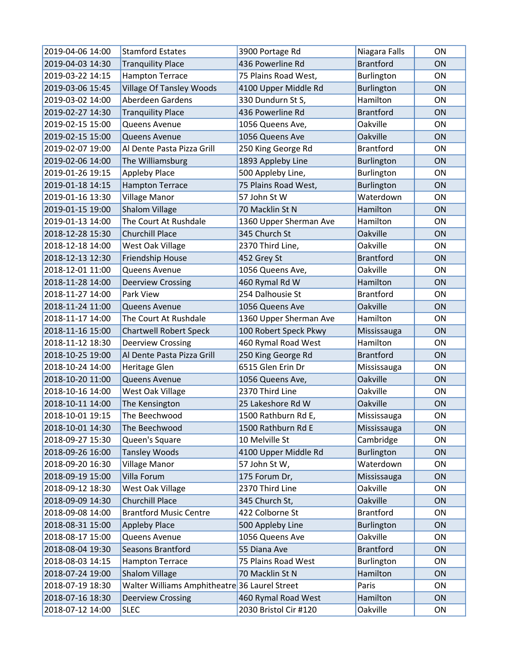| 2019-04-06 14:00 | <b>Stamford Estates</b>                       | 3900 Portage Rd        | Niagara Falls     | <b>ON</b> |
|------------------|-----------------------------------------------|------------------------|-------------------|-----------|
| 2019-04-03 14:30 | <b>Tranquility Place</b>                      | 436 Powerline Rd       | <b>Brantford</b>  | ON        |
| 2019-03-22 14:15 | <b>Hampton Terrace</b>                        | 75 Plains Road West,   | Burlington        | <b>ON</b> |
| 2019-03-06 15:45 | <b>Village Of Tansley Woods</b>               | 4100 Upper Middle Rd   | <b>Burlington</b> | ON        |
| 2019-03-02 14:00 | Aberdeen Gardens                              | 330 Dundurn St S,      | Hamilton          | <b>ON</b> |
| 2019-02-27 14:30 | <b>Tranquility Place</b>                      | 436 Powerline Rd       | <b>Brantford</b>  | ON        |
| 2019-02-15 15:00 | Queens Avenue                                 | 1056 Queens Ave,       | Oakville          | ON        |
| 2019-02-15 15:00 | Queens Avenue                                 | 1056 Queens Ave        | <b>Oakville</b>   | <b>ON</b> |
| 2019-02-07 19:00 | Al Dente Pasta Pizza Grill                    | 250 King George Rd     | <b>Brantford</b>  | ON        |
| 2019-02-06 14:00 | The Williamsburg                              | 1893 Appleby Line      | <b>Burlington</b> | ON        |
| 2019-01-26 19:15 | Appleby Place                                 | 500 Appleby Line,      | Burlington        | ON        |
| 2019-01-18 14:15 | <b>Hampton Terrace</b>                        | 75 Plains Road West,   | <b>Burlington</b> | ON        |
| 2019-01-16 13:30 | <b>Village Manor</b>                          | 57 John St W           | Waterdown         | ON        |
| 2019-01-15 19:00 | <b>Shalom Village</b>                         | 70 Macklin St N        | Hamilton          | ON        |
| 2019-01-13 14:00 | The Court At Rushdale                         | 1360 Upper Sherman Ave | Hamilton          | <b>ON</b> |
| 2018-12-28 15:30 | <b>Churchill Place</b>                        | 345 Church St          | Oakville          | ON        |
| 2018-12-18 14:00 | West Oak Village                              | 2370 Third Line,       | Oakville          | ON        |
| 2018-12-13 12:30 | Friendship House                              | 452 Grey St            | <b>Brantford</b>  | ON        |
| 2018-12-01 11:00 | Queens Avenue                                 | 1056 Queens Ave,       | Oakville          | ON        |
| 2018-11-28 14:00 | <b>Deerview Crossing</b>                      | 460 Rymal Rd W         | Hamilton          | ON        |
| 2018-11-27 14:00 | Park View                                     | 254 Dalhousie St       | <b>Brantford</b>  | ON        |
| 2018-11-24 11:00 | Queens Avenue                                 | 1056 Queens Ave        | Oakville          | <b>ON</b> |
| 2018-11-17 14:00 | The Court At Rushdale                         | 1360 Upper Sherman Ave | Hamilton          | ON        |
| 2018-11-16 15:00 | <b>Chartwell Robert Speck</b>                 | 100 Robert Speck Pkwy  | Mississauga       | ON        |
| 2018-11-12 18:30 | Deerview Crossing                             | 460 Rymal Road West    | Hamilton          | ON        |
| 2018-10-25 19:00 | Al Dente Pasta Pizza Grill                    | 250 King George Rd     | <b>Brantford</b>  | ON        |
| 2018-10-24 14:00 | Heritage Glen                                 | 6515 Glen Erin Dr      | Mississauga       | <b>ON</b> |
| 2018-10-20 11:00 | Queens Avenue                                 | 1056 Queens Ave,       | Oakville          | ON        |
| 2018-10-16 14:00 | West Oak Village                              | 2370 Third Line        | Oakville          | ON        |
| 2018-10-11 14:00 | The Kensington                                | 25 Lakeshore Rd W      | <b>Oakville</b>   | ON        |
| 2018-10-01 19:15 | The Beechwood                                 | 1500 Rathburn Rd E,    | Mississauga       | ON        |
| 2018-10-01 14:30 | The Beechwood                                 | 1500 Rathburn Rd E     | Mississauga       | ON        |
| 2018-09-27 15:30 | Queen's Square                                | 10 Melville St         | Cambridge         | ON        |
| 2018-09-26 16:00 | <b>Tansley Woods</b>                          | 4100 Upper Middle Rd   | <b>Burlington</b> | ON        |
| 2018-09-20 16:30 | <b>Village Manor</b>                          | 57 John St W,          | Waterdown         | ON        |
| 2018-09-19 15:00 | Villa Forum                                   | 175 Forum Dr,          | Mississauga       | ON        |
| 2018-09-12 18:30 | West Oak Village                              | 2370 Third Line        | Oakville          | ON        |
| 2018-09-09 14:30 | Churchill Place                               | 345 Church St,         | Oakville          | ON        |
| 2018-09-08 14:00 | <b>Brantford Music Centre</b>                 | 422 Colborne St        | <b>Brantford</b>  | ON        |
| 2018-08-31 15:00 | <b>Appleby Place</b>                          | 500 Appleby Line       | Burlington        | ON        |
| 2018-08-17 15:00 | Queens Avenue                                 | 1056 Queens Ave        | Oakville          | ON        |
| 2018-08-04 19:30 | Seasons Brantford                             | 55 Diana Ave           | <b>Brantford</b>  | ON        |
| 2018-08-03 14:15 | <b>Hampton Terrace</b>                        | 75 Plains Road West    | Burlington        | ON        |
| 2018-07-24 19:00 | Shalom Village                                | 70 Macklin St N        | Hamilton          | ON        |
| 2018-07-19 18:30 | Walter Williams Amphitheatre 36 Laurel Street |                        | Paris             | ON        |
| 2018-07-16 18:30 | <b>Deerview Crossing</b>                      | 460 Rymal Road West    | Hamilton          | ON        |
| 2018-07-12 14:00 | <b>SLEC</b>                                   | 2030 Bristol Cir #120  | Oakville          | ON        |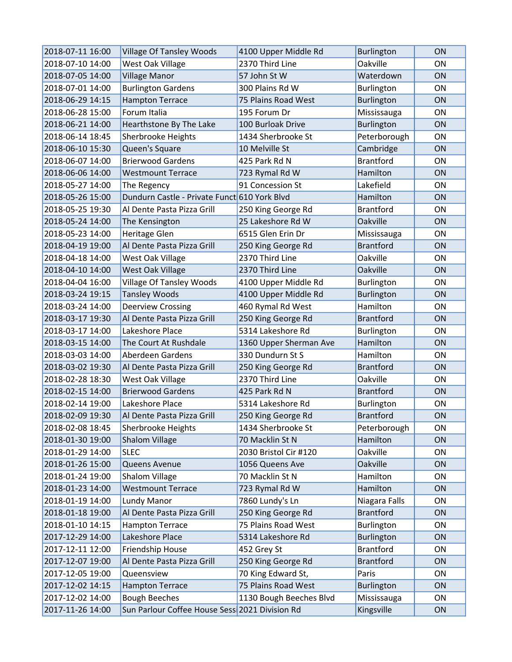| 2018-07-11 16:00 | <b>Village Of Tansley Woods</b>                | 4100 Upper Middle Rd    | <b>Burlington</b> | <b>ON</b>      |
|------------------|------------------------------------------------|-------------------------|-------------------|----------------|
| 2018-07-10 14:00 | West Oak Village                               | 2370 Third Line         | Oakville          | ON             |
| 2018-07-05 14:00 | <b>Village Manor</b>                           | 57 John St W            | Waterdown         | ON             |
| 2018-07-01 14:00 | <b>Burlington Gardens</b>                      | 300 Plains Rd W         | Burlington        | <b>ON</b>      |
| 2018-06-29 14:15 | <b>Hampton Terrace</b>                         | 75 Plains Road West     | Burlington        | <b>ON</b>      |
| 2018-06-28 15:00 | Forum Italia                                   | 195 Forum Dr            | Mississauga       | <b>ON</b>      |
| 2018-06-21 14:00 | Hearthstone By The Lake                        | 100 Burloak Drive       | Burlington        | ON             |
| 2018-06-14 18:45 | Sherbrooke Heights                             | 1434 Sherbrooke St      | Peterborough      | ON             |
| 2018-06-10 15:30 | Queen's Square                                 | 10 Melville St          | Cambridge         | ON             |
| 2018-06-07 14:00 | <b>Brierwood Gardens</b>                       | 425 Park Rd N           | <b>Brantford</b>  | <b>ON</b>      |
| 2018-06-06 14:00 | <b>Westmount Terrace</b>                       | 723 Rymal Rd W          | Hamilton          | ON             |
| 2018-05-27 14:00 | The Regency                                    | 91 Concession St        | Lakefield         | <b>ON</b>      |
| 2018-05-26 15:00 | Dundurn Castle - Private Funct 610 York Blvd   |                         | Hamilton          | <b>ON</b>      |
| 2018-05-25 19:30 | Al Dente Pasta Pizza Grill                     | 250 King George Rd      | <b>Brantford</b>  | ON             |
| 2018-05-24 14:00 | The Kensington                                 | 25 Lakeshore Rd W       | Oakville          | <b>ON</b>      |
| 2018-05-23 14:00 | <b>Heritage Glen</b>                           | 6515 Glen Erin Dr       | Mississauga       | ON             |
| 2018-04-19 19:00 | Al Dente Pasta Pizza Grill                     | 250 King George Rd      | <b>Brantford</b>  | ON             |
| 2018-04-18 14:00 | West Oak Village                               | 2370 Third Line         | Oakville          | ON             |
| 2018-04-10 14:00 | West Oak Village                               | 2370 Third Line         | Oakville          | ON             |
| 2018-04-04 16:00 | <b>Village Of Tansley Woods</b>                | 4100 Upper Middle Rd    | Burlington        | ON             |
| 2018-03-24 19:15 | <b>Tansley Woods</b>                           | 4100 Upper Middle Rd    | Burlington        | ON             |
| 2018-03-24 14:00 | <b>Deerview Crossing</b>                       | 460 Rymal Rd West       | Hamilton          | ON             |
| 2018-03-17 19:30 | Al Dente Pasta Pizza Grill                     | 250 King George Rd      | <b>Brantford</b>  | ON             |
| 2018-03-17 14:00 | Lakeshore Place                                | 5314 Lakeshore Rd       | Burlington        | 0 <sub>N</sub> |
| 2018-03-15 14:00 | The Court At Rushdale                          | 1360 Upper Sherman Ave  | Hamilton          | <b>ON</b>      |
| 2018-03-03 14:00 | Aberdeen Gardens                               | 330 Dundurn St S        | Hamilton          | ON             |
| 2018-03-02 19:30 | Al Dente Pasta Pizza Grill                     | 250 King George Rd      | <b>Brantford</b>  | ON             |
| 2018-02-28 18:30 | West Oak Village                               | 2370 Third Line         | Oakville          | ON             |
| 2018-02-15 14:00 | <b>Brierwood Gardens</b>                       | 425 Park Rd N           | <b>Brantford</b>  | <b>ON</b>      |
| 2018-02-14 19:00 | Lakeshore Place                                | 5314 Lakeshore Rd       | Burlington        | ON             |
| 2018-02-09 19:30 | Al Dente Pasta Pizza Grill                     | 250 King George Rd      | <b>Brantford</b>  | ON             |
| 2018-02-08 18:45 | Sherbrooke Heights                             | 1434 Sherbrooke St      | Peterborough      | ON             |
| 2018-01-30 19:00 | Shalom Village                                 | 70 Macklin St N         | Hamilton          | ON             |
| 2018-01-29 14:00 | <b>SLEC</b>                                    | 2030 Bristol Cir #120   | Oakville          | ON             |
| 2018-01-26 15:00 | Queens Avenue                                  | 1056 Queens Ave         | <b>Oakville</b>   | ON             |
| 2018-01-24 19:00 | Shalom Village                                 | 70 Macklin St N         | Hamilton          | ON             |
| 2018-01-23 14:00 | <b>Westmount Terrace</b>                       | 723 Rymal Rd W          | Hamilton          | ON             |
| 2018-01-19 14:00 | Lundy Manor                                    | 7860 Lundy's Ln         | Niagara Falls     | ON             |
| 2018-01-18 19:00 | Al Dente Pasta Pizza Grill                     | 250 King George Rd      | <b>Brantford</b>  | ON             |
| 2018-01-10 14:15 | <b>Hampton Terrace</b>                         | 75 Plains Road West     | <b>Burlington</b> | ON             |
| 2017-12-29 14:00 | Lakeshore Place                                | 5314 Lakeshore Rd       | <b>Burlington</b> | ON             |
| 2017-12-11 12:00 | Friendship House                               | 452 Grey St             | <b>Brantford</b>  | ON             |
| 2017-12-07 19:00 | Al Dente Pasta Pizza Grill                     | 250 King George Rd      | <b>Brantford</b>  | ON             |
| 2017-12-05 19:00 | Queensview                                     | 70 King Edward St,      | Paris             | ON             |
| 2017-12-02 14:15 | <b>Hampton Terrace</b>                         | 75 Plains Road West     | <b>Burlington</b> | ON             |
| 2017-12-02 14:00 | <b>Bough Beeches</b>                           | 1130 Bough Beeches Blvd | Mississauga       | ON             |
| 2017-11-26 14:00 | Sun Parlour Coffee House Sess 2021 Division Rd |                         | Kingsville        | ON             |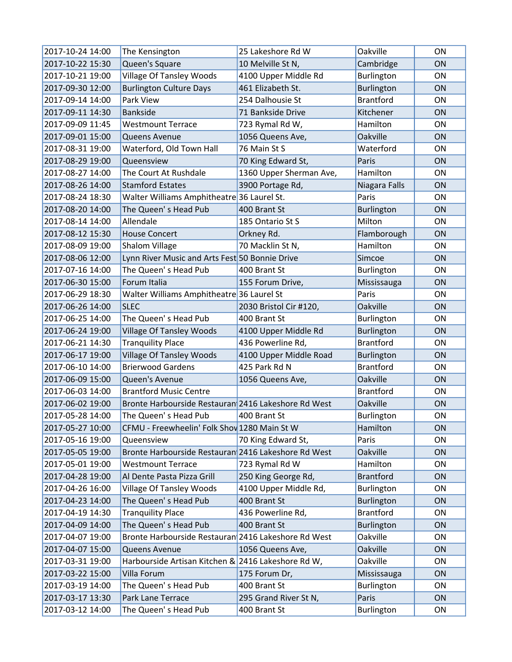| 2017-10-24 14:00 | The Kensington                                      | 25 Lakeshore Rd W       | Oakville          | <b>ON</b>      |
|------------------|-----------------------------------------------------|-------------------------|-------------------|----------------|
| 2017-10-22 15:30 | Queen's Square                                      | 10 Melville St N,       | Cambridge         | ON             |
| 2017-10-21 19:00 | <b>Village Of Tansley Woods</b>                     | 4100 Upper Middle Rd    | Burlington        | ON             |
| 2017-09-30 12:00 | <b>Burlington Culture Days</b>                      | 461 Elizabeth St.       | <b>Burlington</b> | <b>ON</b>      |
| 2017-09-14 14:00 | Park View                                           | 254 Dalhousie St        | <b>Brantford</b>  | <b>ON</b>      |
| 2017-09-11 14:30 | <b>Bankside</b>                                     | 71 Bankside Drive       | Kitchener         | ON             |
| 2017-09-09 11:45 | <b>Westmount Terrace</b>                            | 723 Rymal Rd W,         | Hamilton          | ON             |
| 2017-09-01 15:00 | Queens Avenue                                       | 1056 Queens Ave,        | Oakville          | <b>ON</b>      |
| 2017-08-31 19:00 | Waterford, Old Town Hall                            | 76 Main St S            | Waterford         | <b>ON</b>      |
| 2017-08-29 19:00 | Queensview                                          | 70 King Edward St,      | Paris             | <b>ON</b>      |
| 2017-08-27 14:00 | The Court At Rushdale                               | 1360 Upper Sherman Ave, | Hamilton          | ON             |
| 2017-08-26 14:00 | <b>Stamford Estates</b>                             | 3900 Portage Rd,        | Niagara Falls     | ON             |
| 2017-08-24 18:30 | Walter Williams Amphitheatre 36 Laurel St.          |                         | Paris             | ON             |
| 2017-08-20 14:00 | The Queen's Head Pub                                | 400 Brant St            | <b>Burlington</b> | ON             |
| 2017-08-14 14:00 | Allendale                                           | 185 Ontario St S        | Milton            | <b>ON</b>      |
| 2017-08-12 15:30 | <b>House Concert</b>                                | Orkney Rd.              | Flamborough       | ON             |
| 2017-08-09 19:00 | Shalom Village                                      | 70 Macklin St N,        | Hamilton          | <b>ON</b>      |
| 2017-08-06 12:00 | Lynn River Music and Arts Fest 50 Bonnie Drive      |                         | Simcoe            | ON             |
| 2017-07-16 14:00 | The Queen's Head Pub                                | 400 Brant St            | Burlington        | 0 <sub>N</sub> |
| 2017-06-30 15:00 | Forum Italia                                        | 155 Forum Drive,        | Mississauga       | <b>ON</b>      |
| 2017-06-29 18:30 | Walter Williams Amphitheatre 36 Laurel St           |                         | Paris             | <b>ON</b>      |
| 2017-06-26 14:00 | <b>SLEC</b>                                         | 2030 Bristol Cir #120,  | Oakville          | ON             |
| 2017-06-25 14:00 | The Queen's Head Pub                                | 400 Brant St            | Burlington        | ON             |
| 2017-06-24 19:00 | <b>Village Of Tansley Woods</b>                     | 4100 Upper Middle Rd    | <b>Burlington</b> | <b>ON</b>      |
| 2017-06-21 14:30 | <b>Tranquility Place</b>                            | 436 Powerline Rd,       | <b>Brantford</b>  | ON             |
| 2017-06-17 19:00 | <b>Village Of Tansley Woods</b>                     | 4100 Upper Middle Road  | <b>Burlington</b> | ON             |
| 2017-06-10 14:00 | <b>Brierwood Gardens</b>                            | 425 Park Rd N           | <b>Brantford</b>  | <b>ON</b>      |
| 2017-06-09 15:00 | Queen's Avenue                                      | 1056 Queens Ave,        | Oakville          | ON             |
| 2017-06-03 14:00 | <b>Brantford Music Centre</b>                       |                         | <b>Brantford</b>  | ON             |
| 2017-06-02 19:00 | Bronte Harbourside Restauran 2416 Lakeshore Rd West |                         | <b>Oakville</b>   | ON             |
| 2017-05-28 14:00 | The Queen's Head Pub                                | 400 Brant St            | <b>Burlington</b> | ON             |
| 2017-05-27 10:00 | CFMU - Freewheelin' Folk Shov 1280 Main St W        |                         | Hamilton          | <b>ON</b>      |
| 2017-05-16 19:00 | Queensview                                          | 70 King Edward St,      | Paris             | ON             |
| 2017-05-05 19:00 | Bronte Harbourside Restauran 2416 Lakeshore Rd West |                         | Oakville          | ON             |
| 2017-05-01 19:00 | <b>Westmount Terrace</b>                            | 723 Rymal Rd W          | Hamilton          | ON             |
| 2017-04-28 19:00 | Al Dente Pasta Pizza Grill                          | 250 King George Rd,     | <b>Brantford</b>  | ON             |
| 2017-04-26 16:00 | <b>Village Of Tansley Woods</b>                     | 4100 Upper Middle Rd,   | <b>Burlington</b> | ON             |
| 2017-04-23 14:00 | The Queen's Head Pub                                | 400 Brant St            | Burlington        | ON             |
| 2017-04-19 14:30 | <b>Tranquility Place</b>                            | 436 Powerline Rd,       | <b>Brantford</b>  | ON             |
| 2017-04-09 14:00 | The Queen's Head Pub                                | 400 Brant St            | Burlington        | ON             |
| 2017-04-07 19:00 | Bronte Harbourside Restauran 2416 Lakeshore Rd West |                         | Oakville          | ON             |
| 2017-04-07 15:00 | Queens Avenue                                       | 1056 Queens Ave,        | Oakville          | ON             |
| 2017-03-31 19:00 | Harbourside Artisan Kitchen & 2416 Lakeshore Rd W,  |                         | Oakville          | ON             |
| 2017-03-22 15:00 | Villa Forum                                         | 175 Forum Dr,           | Mississauga       | ON             |
| 2017-03-19 14:00 | The Queen's Head Pub                                | 400 Brant St            | Burlington        | ON             |
| 2017-03-17 13:30 | Park Lane Terrace                                   | 295 Grand River St N,   | Paris             | ON             |
| 2017-03-12 14:00 | The Queen's Head Pub                                | 400 Brant St            | Burlington        | ON             |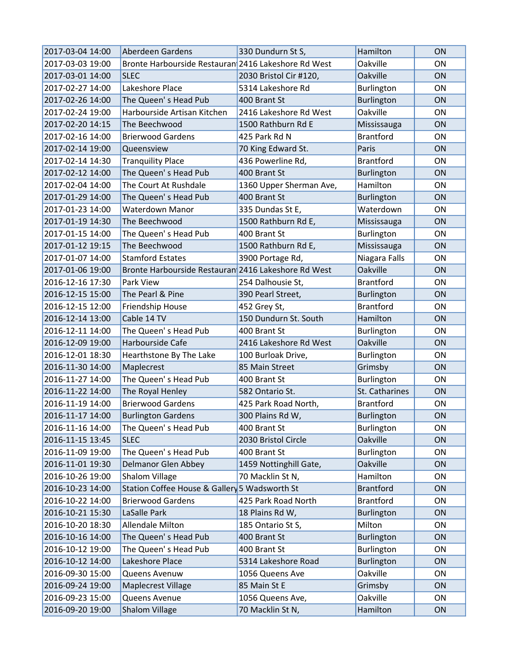| 2017-03-04 14:00 | Aberdeen Gardens                                    | 330 Dundurn St S,       | Hamilton          | <b>ON</b> |
|------------------|-----------------------------------------------------|-------------------------|-------------------|-----------|
| 2017-03-03 19:00 | Bronte Harbourside Restauran 2416 Lakeshore Rd West |                         | <b>Oakville</b>   | <b>ON</b> |
| 2017-03-01 14:00 | <b>SLEC</b>                                         | 2030 Bristol Cir #120,  | Oakville          | <b>ON</b> |
| 2017-02-27 14:00 | Lakeshore Place                                     | 5314 Lakeshore Rd       | Burlington        | ON        |
| 2017-02-26 14:00 | The Queen's Head Pub                                | 400 Brant St            | Burlington        | <b>ON</b> |
| 2017-02-24 19:00 | Harbourside Artisan Kitchen                         | 2416 Lakeshore Rd West  | <b>Oakville</b>   | <b>ON</b> |
| 2017-02-20 14:15 | The Beechwood                                       | 1500 Rathburn Rd E      | Mississauga       | <b>ON</b> |
| 2017-02-16 14:00 | <b>Brierwood Gardens</b>                            | 425 Park Rd N           | <b>Brantford</b>  | ON        |
| 2017-02-14 19:00 | Queensview                                          | 70 King Edward St.      | Paris             | ON        |
| 2017-02-14 14:30 | <b>Tranquility Place</b>                            | 436 Powerline Rd,       | <b>Brantford</b>  | <b>ON</b> |
| 2017-02-12 14:00 | The Queen's Head Pub                                | 400 Brant St            | Burlington        | ON        |
| 2017-02-04 14:00 | The Court At Rushdale                               | 1360 Upper Sherman Ave, | Hamilton          | <b>ON</b> |
| 2017-01-29 14:00 | The Queen's Head Pub                                | 400 Brant St            | Burlington        | ON        |
| 2017-01-23 14:00 | <b>Waterdown Manor</b>                              | 335 Dundas St E,        | Waterdown         | <b>ON</b> |
| 2017-01-19 14:30 | The Beechwood                                       | 1500 Rathburn Rd E,     | Mississauga       | <b>ON</b> |
| 2017-01-15 14:00 | The Queen's Head Pub                                | 400 Brant St            | Burlington        | <b>ON</b> |
| 2017-01-12 19:15 | The Beechwood                                       | 1500 Rathburn Rd E,     | Mississauga       | ON        |
| 2017-01-07 14:00 | <b>Stamford Estates</b>                             | 3900 Portage Rd,        | Niagara Falls     | ON        |
| 2017-01-06 19:00 | Bronte Harbourside Restauran 2416 Lakeshore Rd West |                         | Oakville          | <b>ON</b> |
| 2016-12-16 17:30 | <b>Park View</b>                                    | 254 Dalhousie St,       | <b>Brantford</b>  | ON        |
| 2016-12-15 15:00 | The Pearl & Pine                                    | 390 Pearl Street,       | Burlington        | ON        |
| 2016-12-15 12:00 | Friendship House                                    | 452 Grey St,            | <b>Brantford</b>  | <b>ON</b> |
| 2016-12-14 13:00 | Cable 14 TV                                         | 150 Dundurn St. South   | Hamilton          | ON        |
| 2016-12-11 14:00 | The Queen's Head Pub                                | 400 Brant St            | <b>Burlington</b> | <b>ON</b> |
| 2016-12-09 19:00 | Harbourside Cafe                                    | 2416 Lakeshore Rd West  | Oakville          | ON        |
| 2016-12-01 18:30 | Hearthstone By The Lake                             | 100 Burloak Drive,      | <b>Burlington</b> | ON        |
| 2016-11-30 14:00 | Maplecrest                                          | 85 Main Street          | Grimsby           | <b>ON</b> |
| 2016-11-27 14:00 | The Queen's Head Pub                                | 400 Brant St            | Burlington        | <b>ON</b> |
| 2016-11-22 14:00 | The Royal Henley                                    | 582 Ontario St.         | St. Catharines    | <b>ON</b> |
| 2016-11-19 14:00 | <b>Brierwood Gardens</b>                            | 425 Park Road North,    | <b>Brantford</b>  | ON        |
| 2016-11-17 14:00 | <b>Burlington Gardens</b>                           | 300 Plains Rd W,        | Burlington        | ON        |
| 2016-11-16 14:00 | The Queen's Head Pub                                | 400 Brant St            | Burlington        | ON        |
| 2016-11-15 13:45 | <b>SLEC</b>                                         | 2030 Bristol Circle     | Oakville          | ON        |
| 2016-11-09 19:00 | The Queen's Head Pub                                | 400 Brant St            | Burlington        | ON        |
| 2016-11-01 19:30 | <b>Delmanor Glen Abbey</b>                          | 1459 Nottinghill Gate,  | Oakville          | ON        |
| 2016-10-26 19:00 | <b>Shalom Village</b>                               | 70 Macklin St N,        | Hamilton          | ON        |
| 2016-10-23 14:00 | Station Coffee House & Gallery 5 Wadsworth St       |                         | <b>Brantford</b>  | ON        |
| 2016-10-22 14:00 | <b>Brierwood Gardens</b>                            | 425 Park Road North     | <b>Brantford</b>  | ON        |
| 2016-10-21 15:30 | LaSalle Park                                        | 18 Plains Rd W,         | Burlington        | ON        |
| 2016-10-20 18:30 | Allendale Milton                                    | 185 Ontario St S,       | Milton            | ON        |
| 2016-10-16 14:00 | The Queen's Head Pub                                | 400 Brant St            | Burlington        | ON        |
| 2016-10-12 19:00 | The Queen's Head Pub                                | 400 Brant St            | Burlington        | ON        |
| 2016-10-12 14:00 | Lakeshore Place                                     | 5314 Lakeshore Road     | Burlington        | ON        |
| 2016-09-30 15:00 | Queens Avenuw                                       | 1056 Queens Ave         | Oakville          | ON        |
| 2016-09-24 19:00 | Maplecrest Village                                  | 85 Main St E            | Grimsby           | ON        |
| 2016-09-23 15:00 | Queens Avenue                                       | 1056 Queens Ave,        | Oakville          | ON        |
| 2016-09-20 19:00 | Shalom Village                                      | 70 Macklin St N,        | Hamilton          | ON        |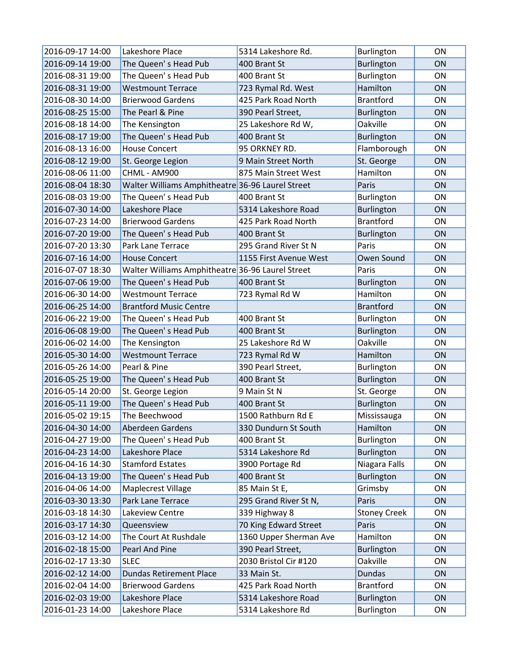| 2016-09-17 14:00 | Lakeshore Place                                  | 5314 Lakeshore Rd.     | Burlington          | <b>ON</b> |
|------------------|--------------------------------------------------|------------------------|---------------------|-----------|
| 2016-09-14 19:00 | The Queen's Head Pub                             | 400 Brant St           | <b>Burlington</b>   | ON        |
| 2016-08-31 19:00 | The Queen's Head Pub                             | 400 Brant St           | Burlington          | ON        |
| 2016-08-31 19:00 | <b>Westmount Terrace</b>                         | 723 Rymal Rd. West     | Hamilton            | <b>ON</b> |
| 2016-08-30 14:00 | <b>Brierwood Gardens</b>                         | 425 Park Road North    | <b>Brantford</b>    | <b>ON</b> |
| 2016-08-25 15:00 | The Pearl & Pine                                 | 390 Pearl Street,      | Burlington          | <b>ON</b> |
| 2016-08-18 14:00 | The Kensington                                   | 25 Lakeshore Rd W,     | Oakville            | ON        |
| 2016-08-17 19:00 | The Queen's Head Pub                             | 400 Brant St           | <b>Burlington</b>   | ON        |
| 2016-08-13 16:00 | <b>House Concert</b>                             | 95 ORKNEY RD.          | Flamborough         | <b>ON</b> |
| 2016-08-12 19:00 | St. George Legion                                | 9 Main Street North    | St. George          | <b>ON</b> |
| 2016-08-06 11:00 | CHML - AM900                                     | 875 Main Street West   | Hamilton            | <b>ON</b> |
| 2016-08-04 18:30 | Walter Williams Amphitheatre 36-96 Laurel Street |                        | Paris               | ON        |
| 2016-08-03 19:00 | The Queen's Head Pub                             | 400 Brant St           | Burlington          | <b>ON</b> |
| 2016-07-30 14:00 | Lakeshore Place                                  | 5314 Lakeshore Road    | Burlington          | ON        |
| 2016-07-23 14:00 | <b>Brierwood Gardens</b>                         | 425 Park Road North    | <b>Brantford</b>    | <b>ON</b> |
| 2016-07-20 19:00 | The Queen's Head Pub                             | 400 Brant St           | <b>Burlington</b>   | ON        |
| 2016-07-20 13:30 | Park Lane Terrace                                | 295 Grand River St N   | Paris               | <b>ON</b> |
| 2016-07-16 14:00 | <b>House Concert</b>                             | 1155 First Avenue West | Owen Sound          | ON        |
| 2016-07-07 18:30 | Walter Williams Amphitheatre 36-96 Laurel Street |                        | Paris               | <b>ON</b> |
| 2016-07-06 19:00 | The Queen's Head Pub                             | 400 Brant St           | Burlington          | <b>ON</b> |
| 2016-06-30 14:00 | <b>Westmount Terrace</b>                         | 723 Rymal Rd W         | Hamilton            | ON        |
| 2016-06-25 14:00 | <b>Brantford Music Centre</b>                    |                        | <b>Brantford</b>    | ON        |
| 2016-06-22 19:00 | The Queen's Head Pub                             | 400 Brant St           | <b>Burlington</b>   | <b>ON</b> |
| 2016-06-08 19:00 | The Queen's Head Pub                             | 400 Brant St           | <b>Burlington</b>   | <b>ON</b> |
| 2016-06-02 14:00 | The Kensington                                   | 25 Lakeshore Rd W      | Oakville            | <b>ON</b> |
| 2016-05-30 14:00 | <b>Westmount Terrace</b>                         | 723 Rymal Rd W         | Hamilton            | ON        |
| 2016-05-26 14:00 | Pearl & Pine                                     | 390 Pearl Street,      | <b>Burlington</b>   | ON        |
| 2016-05-25 19:00 | The Queen's Head Pub                             | 400 Brant St           | <b>Burlington</b>   | ON        |
| 2016-05-14 20:00 | St. George Legion                                | 9 Main St N            | St. George          | <b>ON</b> |
| 2016-05-11 19:00 | The Queen's Head Pub                             | 400 Brant St           | Burlington          | <b>ON</b> |
| 2016-05-02 19:15 | The Beechwood                                    | 1500 Rathburn Rd E     | Mississauga         | ON        |
| 2016-04-30 14:00 | Aberdeen Gardens                                 | 330 Dundurn St South   | Hamilton            | <b>ON</b> |
| 2016-04-27 19:00 | The Queen's Head Pub                             | 400 Brant St           | Burlington          | ON        |
| 2016-04-23 14:00 | Lakeshore Place                                  | 5314 Lakeshore Rd      | <b>Burlington</b>   | ON        |
| 2016-04-16 14:30 | <b>Stamford Estates</b>                          | 3900 Portage Rd        | Niagara Falls       | ON        |
| 2016-04-13 19:00 | The Queen's Head Pub                             | 400 Brant St           | <b>Burlington</b>   | ON        |
| 2016-04-06 14:00 | <b>Maplecrest Village</b>                        | 85 Main St E,          | Grimsby             | ON        |
| 2016-03-30 13:30 | Park Lane Terrace                                | 295 Grand River St N,  | Paris               | ON        |
| 2016-03-18 14:30 | Lakeview Centre                                  | 339 Highway 8          | <b>Stoney Creek</b> | ON        |
| 2016-03-17 14:30 | Queensview                                       | 70 King Edward Street  | Paris               | ON        |
| 2016-03-12 14:00 | The Court At Rushdale                            | 1360 Upper Sherman Ave | Hamilton            | ON        |
| 2016-02-18 15:00 | Pearl And Pine                                   | 390 Pearl Street,      | <b>Burlington</b>   | ON        |
| 2016-02-17 13:30 | <b>SLEC</b>                                      | 2030 Bristol Cir #120  | Oakville            | ON        |
| 2016-02-12 14:00 | <b>Dundas Retirement Place</b>                   | 33 Main St.            | <b>Dundas</b>       | ON        |
| 2016-02-04 14:00 | <b>Brierwood Gardens</b>                         | 425 Park Road North    | <b>Brantford</b>    | ON        |
| 2016-02-03 19:00 | Lakeshore Place                                  | 5314 Lakeshore Road    | Burlington          | ON        |
| 2016-01-23 14:00 | Lakeshore Place                                  | 5314 Lakeshore Rd      | Burlington          | ON        |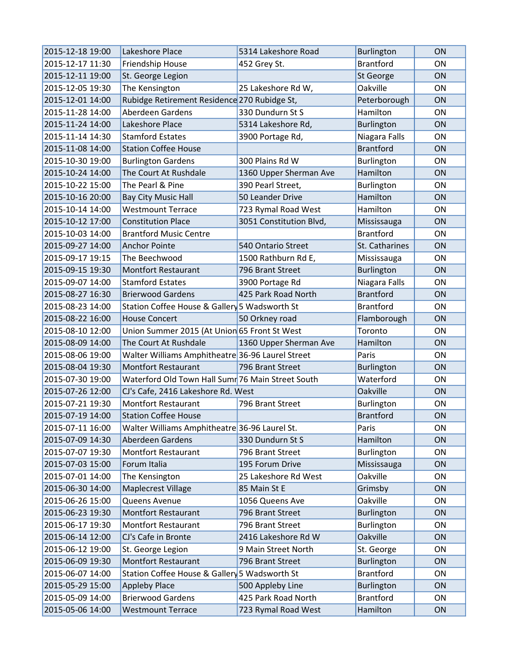| 2015-12-18 19:00 | Lakeshore Place                                   | 5314 Lakeshore Road     | Burlington        | <b>ON</b> |
|------------------|---------------------------------------------------|-------------------------|-------------------|-----------|
| 2015-12-17 11:30 | Friendship House                                  | 452 Grey St.            | <b>Brantford</b>  | ON        |
| 2015-12-11 19:00 | St. George Legion                                 |                         | St George         | ON        |
| 2015-12-05 19:30 | The Kensington                                    | 25 Lakeshore Rd W,      | Oakville          | ON        |
| 2015-12-01 14:00 | Rubidge Retirement Residence 270 Rubidge St,      |                         | Peterborough      | ON        |
| 2015-11-28 14:00 | Aberdeen Gardens                                  | 330 Dundurn St S        | Hamilton          | ON        |
| 2015-11-24 14:00 | Lakeshore Place                                   | 5314 Lakeshore Rd,      | Burlington        | ON        |
| 2015-11-14 14:30 | <b>Stamford Estates</b>                           | 3900 Portage Rd,        | Niagara Falls     | ON        |
| 2015-11-08 14:00 | <b>Station Coffee House</b>                       |                         | <b>Brantford</b>  | ON        |
| 2015-10-30 19:00 | <b>Burlington Gardens</b>                         | 300 Plains Rd W         | Burlington        | ON        |
| 2015-10-24 14:00 | The Court At Rushdale                             | 1360 Upper Sherman Ave  | Hamilton          | ON        |
| 2015-10-22 15:00 | The Pearl & Pine                                  | 390 Pearl Street,       | Burlington        | ON        |
| 2015-10-16 20:00 | <b>Bay City Music Hall</b>                        | 50 Leander Drive        | Hamilton          | ON        |
| 2015-10-14 14:00 | <b>Westmount Terrace</b>                          | 723 Rymal Road West     | Hamilton          | ON        |
| 2015-10-12 17:00 | <b>Constitution Place</b>                         | 3051 Constitution Blvd, | Mississauga       | ON        |
| 2015-10-03 14:00 | <b>Brantford Music Centre</b>                     |                         | <b>Brantford</b>  | ON        |
| 2015-09-27 14:00 | <b>Anchor Pointe</b>                              | 540 Ontario Street      | St. Catharines    | ON        |
| 2015-09-17 19:15 | The Beechwood                                     | 1500 Rathburn Rd E,     | Mississauga       | ON        |
| 2015-09-15 19:30 | <b>Montfort Restaurant</b>                        | 796 Brant Street        | <b>Burlington</b> | ON        |
| 2015-09-07 14:00 | <b>Stamford Estates</b>                           | 3900 Portage Rd         | Niagara Falls     | ON        |
| 2015-08-27 16:30 | <b>Brierwood Gardens</b>                          | 425 Park Road North     | <b>Brantford</b>  | ON        |
| 2015-08-23 14:00 | Station Coffee House & Gallery 5 Wadsworth St     |                         | <b>Brantford</b>  | ON        |
| 2015-08-22 16:00 | <b>House Concert</b>                              | 50 Orkney road          | Flamborough       | ON        |
| 2015-08-10 12:00 | Union Summer 2015 (At Union 65 Front St West      |                         | Toronto           | ON        |
| 2015-08-09 14:00 | The Court At Rushdale                             | 1360 Upper Sherman Ave  | Hamilton          | ON        |
| 2015-08-06 19:00 | Walter Williams Amphitheatre 36-96 Laurel Street  |                         | Paris             | ON        |
| 2015-08-04 19:30 | <b>Montfort Restaurant</b>                        | 796 Brant Street        | <b>Burlington</b> | ON        |
| 2015-07-30 19:00 | Waterford Old Town Hall Sumr 76 Main Street South |                         | Waterford         | ON        |
| 2015-07-26 12:00 | CJ's Cafe, 2416 Lakeshore Rd. West                |                         | Oakville          | ON        |
| 2015-07-21 19:30 | <b>Montfort Restaurant</b>                        | 796 Brant Street        | Burlington        | ON        |
| 2015-07-19 14:00 | <b>Station Coffee House</b>                       |                         | <b>Brantford</b>  | ON        |
| 2015-07-11 16:00 | Walter Williams Amphitheatre 36-96 Laurel St.     |                         | Paris             | ON        |
| 2015-07-09 14:30 | Aberdeen Gardens                                  | 330 Dundurn St S        | Hamilton          | ON        |
| 2015-07-07 19:30 | <b>Montfort Restaurant</b>                        | 796 Brant Street        | <b>Burlington</b> | ON        |
| 2015-07-03 15:00 | Forum Italia                                      | 195 Forum Drive         | Mississauga       | ON        |
| 2015-07-01 14:00 | The Kensington                                    | 25 Lakeshore Rd West    | Oakville          | ON        |
| 2015-06-30 14:00 | <b>Maplecrest Village</b>                         | 85 Main St E            | Grimsby           | ON        |
| 2015-06-26 15:00 | Queens Avenue                                     | 1056 Queens Ave         | Oakville          | ON        |
| 2015-06-23 19:30 | <b>Montfort Restaurant</b>                        | 796 Brant Street        | <b>Burlington</b> | ON        |
| 2015-06-17 19:30 | <b>Montfort Restaurant</b>                        | 796 Brant Street        | Burlington        | ON        |
| 2015-06-14 12:00 | CJ's Cafe in Bronte                               | 2416 Lakeshore Rd W     | Oakville          | ON        |
| 2015-06-12 19:00 | St. George Legion                                 | 9 Main Street North     | St. George        | ON        |
| 2015-06-09 19:30 | <b>Montfort Restaurant</b>                        | 796 Brant Street        | Burlington        | ON        |
| 2015-06-07 14:00 | Station Coffee House & Gallery 5 Wadsworth St     |                         | <b>Brantford</b>  | ON        |
| 2015-05-29 15:00 | <b>Appleby Place</b>                              | 500 Appleby Line        | Burlington        | ON        |
| 2015-05-09 14:00 | <b>Brierwood Gardens</b>                          | 425 Park Road North     | <b>Brantford</b>  | ON        |
| 2015-05-06 14:00 | <b>Westmount Terrace</b>                          | 723 Rymal Road West     | Hamilton          | ON        |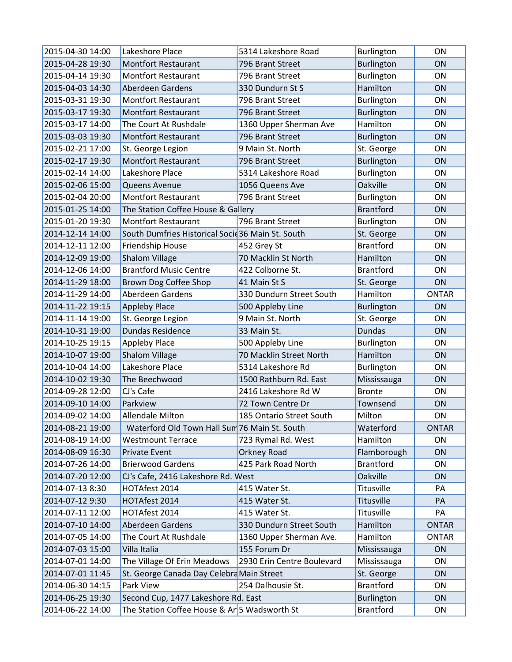| 2015-04-30 14:00 | Lakeshore Place                                   | 5314 Lakeshore Road        | Burlington        | ON           |
|------------------|---------------------------------------------------|----------------------------|-------------------|--------------|
| 2015-04-28 19:30 | <b>Montfort Restaurant</b>                        | 796 Brant Street           | Burlington        | ON           |
| 2015-04-14 19:30 | <b>Montfort Restaurant</b>                        | 796 Brant Street           | Burlington        | ON           |
| 2015-04-03 14:30 | Aberdeen Gardens                                  | 330 Dundurn St S           | Hamilton          | ON           |
| 2015-03-31 19:30 | <b>Montfort Restaurant</b>                        | 796 Brant Street           | Burlington        | <b>ON</b>    |
| 2015-03-17 19:30 | <b>Montfort Restaurant</b>                        | 796 Brant Street           | Burlington        | ON           |
| 2015-03-17 14:00 | The Court At Rushdale                             | 1360 Upper Sherman Ave     | Hamilton          | ON           |
| 2015-03-03 19:30 | <b>Montfort Restaurant</b>                        | 796 Brant Street           | Burlington        | ON           |
| 2015-02-21 17:00 | St. George Legion                                 | 9 Main St. North           | St. George        | <b>ON</b>    |
| 2015-02-17 19:30 | <b>Montfort Restaurant</b>                        | 796 Brant Street           | Burlington        | <b>ON</b>    |
| 2015-02-14 14:00 | Lakeshore Place                                   | 5314 Lakeshore Road        | Burlington        | ON           |
| 2015-02-06 15:00 | Queens Avenue                                     | 1056 Queens Ave            | Oakville          | ON           |
| 2015-02-04 20:00 | <b>Montfort Restaurant</b>                        | 796 Brant Street           | Burlington        | <b>ON</b>    |
| 2015-01-25 14:00 | The Station Coffee House & Gallery                |                            | <b>Brantford</b>  | ON           |
| 2015-01-20 19:30 | <b>Montfort Restaurant</b>                        | 796 Brant Street           | Burlington        | <b>ON</b>    |
| 2014-12-14 14:00 | South Dumfries Historical Socie 36 Main St. South |                            | St. George        | ON           |
| 2014-12-11 12:00 | Friendship House                                  | 452 Grey St                | <b>Brantford</b>  | <b>ON</b>    |
| 2014-12-09 19:00 | <b>Shalom Village</b>                             | 70 Macklin St North        | Hamilton          | ON           |
| 2014-12-06 14:00 | <b>Brantford Music Centre</b>                     | 422 Colborne St.           | <b>Brantford</b>  | <b>ON</b>    |
| 2014-11-29 18:00 | Brown Dog Coffee Shop                             | 41 Main St S               | St. George        | ON           |
| 2014-11-29 14:00 | Aberdeen Gardens                                  | 330 Dundurn Street South   | Hamilton          | <b>ONTAR</b> |
| 2014-11-22 19:15 | <b>Appleby Place</b>                              | 500 Appleby Line           | <b>Burlington</b> | ON           |
| 2014-11-14 19:00 | St. George Legion                                 | 9 Main St. North           | St. George        | <b>ON</b>    |
| 2014-10-31 19:00 | <b>Dundas Residence</b>                           | 33 Main St.                | Dundas            | <b>ON</b>    |
| 2014-10-25 19:15 | <b>Appleby Place</b>                              | 500 Appleby Line           | Burlington        | ON           |
| 2014-10-07 19:00 | <b>Shalom Village</b>                             | 70 Macklin Street North    | Hamilton          | ON           |
| 2014-10-04 14:00 | Lakeshore Place                                   | 5314 Lakeshore Rd          | Burlington        | ON           |
| 2014-10-02 19:30 | The Beechwood                                     | 1500 Rathburn Rd. East     | Mississauga       | ON           |
| 2014-09-28 12:00 | CJ's Cafe                                         | 2416 Lakeshore Rd W        | <b>Bronte</b>     | <b>ON</b>    |
| 2014-09-10 14:00 | Parkview                                          | 72 Town Centre Dr          | Townsend          | ON           |
| 2014-09-02 14:00 | Allendale Milton                                  | 185 Ontario Street South   | Milton            | ON           |
| 2014-08-21 19:00 | Waterford Old Town Hall Sum 76 Main St. South     |                            | Waterford         | <b>ONTAR</b> |
| 2014-08-19 14:00 | <b>Westmount Terrace</b>                          | 723 Rymal Rd. West         | Hamilton          | ON           |
| 2014-08-09 16:30 | <b>Private Event</b>                              | Orkney Road                | Flamborough       | ON           |
| 2014-07-26 14:00 | <b>Brierwood Gardens</b>                          | 425 Park Road North        | <b>Brantford</b>  | ON           |
| 2014-07-20 12:00 | CJ's Cafe, 2416 Lakeshore Rd. West                |                            | Oakville          | ON           |
| 2014-07-13 8:30  | HOTAfest 2014                                     | 415 Water St.              | Titusville        | PA           |
| 2014-07-12 9:30  | HOTAfest 2014                                     | 415 Water St.              | Titusville        | PA           |
| 2014-07-11 12:00 | HOTAfest 2014                                     | 415 Water St.              | Titusville        | PA           |
| 2014-07-10 14:00 | Aberdeen Gardens                                  | 330 Dundurn Street South   | Hamilton          | <b>ONTAR</b> |
| 2014-07-05 14:00 | The Court At Rushdale                             | 1360 Upper Sherman Ave.    | Hamilton          | <b>ONTAR</b> |
| 2014-07-03 15:00 | Villa Italia                                      | 155 Forum Dr               | Mississauga       | ON           |
| 2014-07-01 14:00 | The Village Of Erin Meadows                       | 2930 Erin Centre Boulevard | Mississauga       | ON           |
| 2014-07-01 11:45 | St. George Canada Day Celebra Main Street         |                            | St. George        | ON           |
| 2014-06-30 14:15 | Park View                                         | 254 Dalhousie St.          | <b>Brantford</b>  | ON           |
| 2014-06-25 19:30 | Second Cup, 1477 Lakeshore Rd. East               |                            | <b>Burlington</b> | ON           |
| 2014-06-22 14:00 | The Station Coffee House & Ar 5 Wadsworth St      |                            | <b>Brantford</b>  | ON           |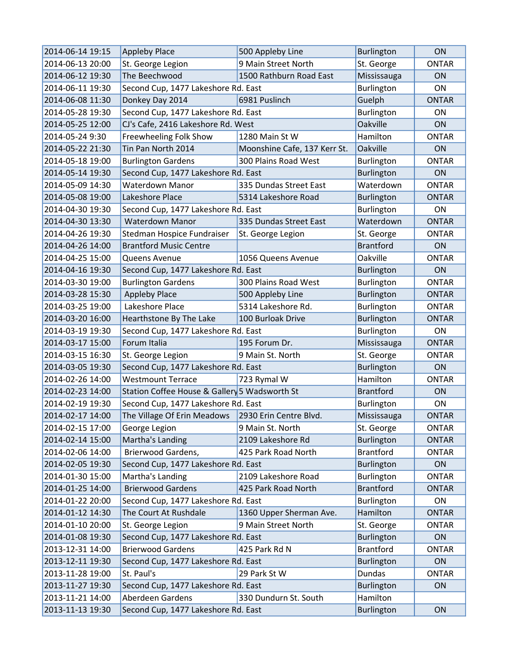| 2014-06-14 19:15 | <b>Appleby Place</b>                                 | 500 Appleby Line             | Burlington        | ON           |
|------------------|------------------------------------------------------|------------------------------|-------------------|--------------|
| 2014-06-13 20:00 | St. George Legion                                    | 9 Main Street North          | St. George        | <b>ONTAR</b> |
| 2014-06-12 19:30 | The Beechwood                                        | 1500 Rathburn Road East      | Mississauga       | ON           |
| 2014-06-11 19:30 | Second Cup, 1477 Lakeshore Rd. East                  |                              | Burlington        | ON           |
| 2014-06-08 11:30 | Donkey Day 2014                                      | 6981 Puslinch                | Guelph            | <b>ONTAR</b> |
| 2014-05-28 19:30 | Second Cup, 1477 Lakeshore Rd. East                  |                              | Burlington        | ON           |
| 2014-05-25 12:00 | CJ's Cafe, 2416 Lakeshore Rd. West                   |                              | Oakville          | <b>ON</b>    |
| 2014-05-24 9:30  | Freewheeling Folk Show                               | 1280 Main St W               | Hamilton          | <b>ONTAR</b> |
| 2014-05-22 21:30 | Tin Pan North 2014                                   | Moonshine Cafe, 137 Kerr St. | Oakville          | ON           |
| 2014-05-18 19:00 | <b>Burlington Gardens</b>                            | 300 Plains Road West         | Burlington        | <b>ONTAR</b> |
| 2014-05-14 19:30 | Second Cup, 1477 Lakeshore Rd. East                  |                              | Burlington        | ON           |
| 2014-05-09 14:30 | <b>Waterdown Manor</b>                               | 335 Dundas Street East       | Waterdown         | <b>ONTAR</b> |
| 2014-05-08 19:00 | Lakeshore Place                                      | 5314 Lakeshore Road          | <b>Burlington</b> | <b>ONTAR</b> |
| 2014-04-30 19:30 | Second Cup, 1477 Lakeshore Rd. East                  |                              | Burlington        | ON           |
| 2014-04-30 13:30 | <b>Waterdown Manor</b>                               | 335 Dundas Street East       | Waterdown         | <b>ONTAR</b> |
| 2014-04-26 19:30 | Stedman Hospice Fundraiser                           | St. George Legion            | St. George        | <b>ONTAR</b> |
| 2014-04-26 14:00 | <b>Brantford Music Centre</b>                        |                              | <b>Brantford</b>  | <b>ON</b>    |
| 2014-04-25 15:00 | Queens Avenue                                        | 1056 Queens Avenue           | Oakville          | <b>ONTAR</b> |
| 2014-04-16 19:30 | Second Cup, 1477 Lakeshore Rd. East                  |                              | Burlington        | <b>ON</b>    |
| 2014-03-30 19:00 | <b>Burlington Gardens</b>                            | 300 Plains Road West         | Burlington        | <b>ONTAR</b> |
| 2014-03-28 15:30 | <b>Appleby Place</b>                                 | 500 Appleby Line             | Burlington        | <b>ONTAR</b> |
| 2014-03-25 19:00 | Lakeshore Place                                      | 5314 Lakeshore Rd.           | Burlington        | <b>ONTAR</b> |
| 2014-03-20 16:00 | Hearthstone By The Lake                              | 100 Burloak Drive            | Burlington        | <b>ONTAR</b> |
| 2014-03-19 19:30 | Second Cup, 1477 Lakeshore Rd. East                  |                              | Burlington        | ON           |
| 2014-03-17 15:00 | Forum Italia                                         | 195 Forum Dr.                | Mississauga       | <b>ONTAR</b> |
| 2014-03-15 16:30 | St. George Legion                                    | 9 Main St. North             | St. George        | <b>ONTAR</b> |
| 2014-03-05 19:30 | Second Cup, 1477 Lakeshore Rd. East                  |                              | Burlington        | <b>ON</b>    |
| 2014-02-26 14:00 | <b>Westmount Terrace</b>                             | 723 Rymal W                  | Hamilton          | <b>ONTAR</b> |
| 2014-02-23 14:00 | Station Coffee House & Gallery 5 Wadsworth St        |                              | <b>Brantford</b>  | ON           |
| 2014-02-19 19:30 | Second Cup, 1477 Lakeshore Rd. East                  |                              | Burlington        | ON           |
| 2014-02-17 14:00 | The Village Of Erin Meadows   2930 Erin Centre Blvd. |                              | Mississauga       | <b>ONTAR</b> |
| 2014-02-15 17:00 | George Legion                                        | 9 Main St. North             | St. George        | <b>ONTAR</b> |
| 2014-02-14 15:00 | Martha's Landing                                     | 2109 Lakeshore Rd            | Burlington        | <b>ONTAR</b> |
| 2014-02-06 14:00 | Brierwood Gardens,                                   | 425 Park Road North          | <b>Brantford</b>  | <b>ONTAR</b> |
| 2014-02-05 19:30 | Second Cup, 1477 Lakeshore Rd. East                  |                              | Burlington        | ON           |
| 2014-01-30 15:00 | Martha's Landing                                     | 2109 Lakeshore Road          | Burlington        | <b>ONTAR</b> |
| 2014-01-25 14:00 | <b>Brierwood Gardens</b>                             | 425 Park Road North          | <b>Brantford</b>  | <b>ONTAR</b> |
| 2014-01-22 20:00 | Second Cup, 1477 Lakeshore Rd. East                  |                              | Burlington        | ON           |
| 2014-01-12 14:30 | The Court At Rushdale                                | 1360 Upper Sherman Ave.      | Hamilton          | <b>ONTAR</b> |
| 2014-01-10 20:00 | St. George Legion                                    | 9 Main Street North          | St. George        | <b>ONTAR</b> |
| 2014-01-08 19:30 | Second Cup, 1477 Lakeshore Rd. East                  |                              | Burlington        | ON           |
| 2013-12-31 14:00 | <b>Brierwood Gardens</b>                             | 425 Park Rd N                | <b>Brantford</b>  | <b>ONTAR</b> |
| 2013-12-11 19:30 | Second Cup, 1477 Lakeshore Rd. East                  |                              | Burlington        | ON           |
| 2013-11-28 19:00 | St. Paul's                                           | 29 Park St W                 | Dundas            | <b>ONTAR</b> |
| 2013-11-27 19:30 | Second Cup, 1477 Lakeshore Rd. East                  |                              | Burlington        | ON           |
| 2013-11-21 14:00 | Aberdeen Gardens                                     | 330 Dundurn St. South        | Hamilton          |              |
| 2013-11-13 19:30 | Second Cup, 1477 Lakeshore Rd. East                  |                              | Burlington        | ON           |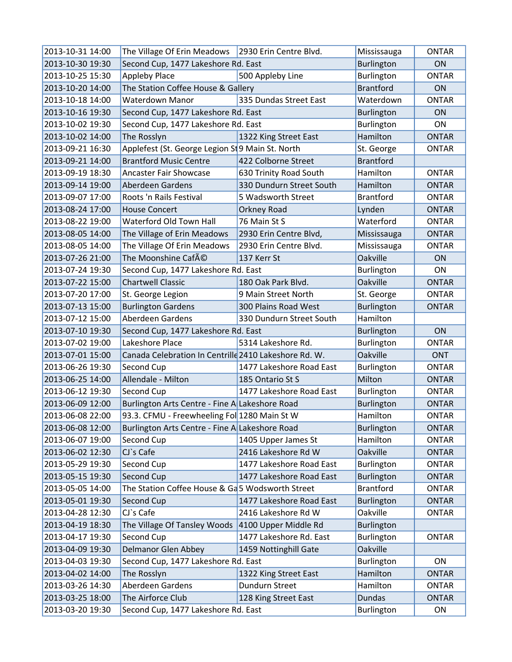| 2013-10-31 14:00 | The Village Of Erin Meadows   2930 Erin Centre Blvd.  |                          | Mississauga       | <b>ONTAR</b>   |
|------------------|-------------------------------------------------------|--------------------------|-------------------|----------------|
| 2013-10-30 19:30 | Second Cup, 1477 Lakeshore Rd. East                   |                          | Burlington        | ON             |
| 2013-10-25 15:30 | <b>Appleby Place</b>                                  | 500 Appleby Line         | Burlington        | <b>ONTAR</b>   |
| 2013-10-20 14:00 | The Station Coffee House & Gallery                    |                          | <b>Brantford</b>  | ON             |
| 2013-10-18 14:00 | Waterdown Manor                                       | 335 Dundas Street East   | Waterdown         | <b>ONTAR</b>   |
| 2013-10-16 19:30 | Second Cup, 1477 Lakeshore Rd. East                   |                          | <b>Burlington</b> | 0 <sub>N</sub> |
| 2013-10-02 19:30 | Second Cup, 1477 Lakeshore Rd. East                   |                          | Burlington        | <b>ON</b>      |
| 2013-10-02 14:00 | The Rosslyn                                           | 1322 King Street East    | Hamilton          | <b>ONTAR</b>   |
| 2013-09-21 16:30 | Applefest (St. George Legion St 9 Main St. North      |                          | St. George        | <b>ONTAR</b>   |
| 2013-09-21 14:00 | <b>Brantford Music Centre</b>                         | 422 Colborne Street      | <b>Brantford</b>  |                |
| 2013-09-19 18:30 | <b>Ancaster Fair Showcase</b>                         | 630 Trinity Road South   | Hamilton          | <b>ONTAR</b>   |
| 2013-09-14 19:00 | Aberdeen Gardens                                      | 330 Dundurn Street South | Hamilton          | <b>ONTAR</b>   |
| 2013-09-07 17:00 | Roots 'n Rails Festival                               | 5 Wadsworth Street       | <b>Brantford</b>  | <b>ONTAR</b>   |
| 2013-08-24 17:00 | <b>House Concert</b>                                  | Orkney Road              | Lynden            | <b>ONTAR</b>   |
| 2013-08-22 19:00 | Waterford Old Town Hall                               | 76 Main St S             | Waterford         | <b>ONTAR</b>   |
| 2013-08-05 14:00 | The Village of Erin Meadows                           | 2930 Erin Centre Blvd,   | Mississauga       | <b>ONTAR</b>   |
| 2013-08-05 14:00 | The Village Of Erin Meadows                           | 2930 Erin Centre Blvd.   | Mississauga       | <b>ONTAR</b>   |
| 2013-07-26 21:00 | The Moonshine Café                                    | 137 Kerr St              | Oakville          | ON             |
| 2013-07-24 19:30 | Second Cup, 1477 Lakeshore Rd. East                   |                          | Burlington        | <b>ON</b>      |
| 2013-07-22 15:00 | <b>Chartwell Classic</b>                              | 180 Oak Park Blvd.       | Oakville          | <b>ONTAR</b>   |
| 2013-07-20 17:00 | St. George Legion                                     | 9 Main Street North      | St. George        | <b>ONTAR</b>   |
| 2013-07-13 15:00 | <b>Burlington Gardens</b>                             | 300 Plains Road West     | Burlington        | <b>ONTAR</b>   |
| 2013-07-12 15:00 | Aberdeen Gardens                                      | 330 Dundurn Street South | Hamilton          |                |
| 2013-07-10 19:30 | Second Cup, 1477 Lakeshore Rd. East                   |                          | <b>Burlington</b> | ON             |
| 2013-07-02 19:00 | Lakeshore Place                                       | 5314 Lakeshore Rd.       | Burlington        | <b>ONTAR</b>   |
| 2013-07-01 15:00 | Canada Celebration In Centrille 2410 Lakeshore Rd. W. |                          | Oakville          | <b>ONT</b>     |
| 2013-06-26 19:30 | Second Cup                                            | 1477 Lakeshore Road East | Burlington        | <b>ONTAR</b>   |
| 2013-06-25 14:00 | Allendale - Milton                                    | 185 Ontario St S         | Milton            | <b>ONTAR</b>   |
| 2013-06-12 19:30 | Second Cup                                            | 1477 Lakeshore Road East | Burlington        | <b>ONTAR</b>   |
| 2013-06-09 12:00 | Burlington Arts Centre - Fine A Lakeshore Road        |                          | Burlington        | <b>ONTAR</b>   |
| 2013-06-08 22:00 | 93.3. CFMU - Freewheeling Fol 1280 Main St W          |                          | Hamilton          | <b>ONTAR</b>   |
| 2013-06-08 12:00 | Burlington Arts Centre - Fine A Lakeshore Road        |                          | <b>Burlington</b> | <b>ONTAR</b>   |
| 2013-06-07 19:00 | Second Cup                                            | 1405 Upper James St      | Hamilton          | <b>ONTAR</b>   |
| 2013-06-02 12:30 | CJ's Cafe                                             | 2416 Lakeshore Rd W      | Oakville          | <b>ONTAR</b>   |
| 2013-05-29 19:30 | Second Cup                                            | 1477 Lakeshore Road East | Burlington        | <b>ONTAR</b>   |
| 2013-05-15 19:30 | Second Cup                                            | 1477 Lakeshore Road East | <b>Burlington</b> | <b>ONTAR</b>   |
| 2013-05-05 14:00 | The Station Coffee House & Ga5 Wodsworth Street       |                          | <b>Brantford</b>  | ONTAR          |
| 2013-05-01 19:30 | Second Cup                                            | 1477 Lakeshore Road East | Burlington        | <b>ONTAR</b>   |
| 2013-04-28 12:30 | CJ's Cafe                                             | 2416 Lakeshore Rd W      | Oakville          | <b>ONTAR</b>   |
| 2013-04-19 18:30 | The Village Of Tansley Woods                          | 4100 Upper Middle Rd     | <b>Burlington</b> |                |
| 2013-04-17 19:30 | Second Cup                                            | 1477 Lakeshore Rd. East  | Burlington        | <b>ONTAR</b>   |
| 2013-04-09 19:30 | Delmanor Glen Abbey                                   | 1459 Nottinghill Gate    | Oakville          |                |
| 2013-04-03 19:30 | Second Cup, 1477 Lakeshore Rd. East                   |                          | Burlington        | ON             |
| 2013-04-02 14:00 | The Rosslyn                                           | 1322 King Street East    | Hamilton          | <b>ONTAR</b>   |
| 2013-03-26 14:30 | Aberdeen Gardens                                      | Dundurn Street           | Hamilton          | <b>ONTAR</b>   |
| 2013-03-25 18:00 | The Airforce Club                                     | 128 King Street East     | <b>Dundas</b>     | <b>ONTAR</b>   |
| 2013-03-20 19:30 | Second Cup, 1477 Lakeshore Rd. East                   |                          | Burlington        | ON             |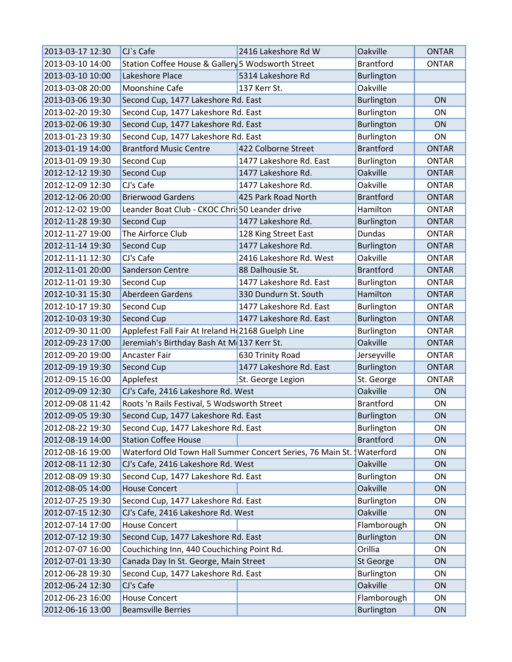| 2013-03-17 12:30 | $CI$ `s Cafe                                      | 2416 Lakeshore Rd W                                          | Oakville          | <b>ONTAR</b> |
|------------------|---------------------------------------------------|--------------------------------------------------------------|-------------------|--------------|
| 2013-03-10 14:00 | Station Coffee House & Gallery 5 Wodsworth Street |                                                              | <b>Brantford</b>  | <b>ONTAR</b> |
| 2013-03-10 10:00 | Lakeshore Place                                   | 5314 Lakeshore Rd                                            | Burlington        |              |
| 2013-03-08 20:00 | Moonshine Cafe                                    | 137 Kerr St.                                                 | Oakville          |              |
| 2013-03-06 19:30 | Second Cup, 1477 Lakeshore Rd. East               |                                                              | Burlington        | <b>ON</b>    |
| 2013-02-20 19:30 | Second Cup, 1477 Lakeshore Rd. East               |                                                              | Burlington        | ON           |
| 2013-02-06 19:30 | Second Cup, 1477 Lakeshore Rd. East               |                                                              | Burlington        | ON           |
| 2013-01-23 19:30 | Second Cup, 1477 Lakeshore Rd. East               |                                                              | Burlington        | <b>ON</b>    |
| 2013-01-19 14:00 | <b>Brantford Music Centre</b>                     | 422 Colborne Street                                          | <b>Brantford</b>  | <b>ONTAR</b> |
| 2013-01-09 19:30 | Second Cup                                        | 1477 Lakeshore Rd. East                                      | Burlington        | <b>ONTAR</b> |
| 2012-12-12 19:30 | Second Cup                                        | 1477 Lakeshore Rd.                                           | <b>Oakville</b>   | <b>ONTAR</b> |
| 2012-12-09 12:30 | CJ's Cafe                                         | 1477 Lakeshore Rd.                                           | Oakville          | <b>ONTAR</b> |
| 2012-12-06 20:00 | <b>Brierwood Gardens</b>                          | 425 Park Road North                                          | <b>Brantford</b>  | <b>ONTAR</b> |
| 2012-12-02 19:00 | Leander Boat Club - CKOC Chris 50 Leander drive   |                                                              | Hamilton          | <b>ONTAR</b> |
| 2012-11-28 19:30 | Second Cup                                        | 1477 Lakeshore Rd.                                           | <b>Burlington</b> | <b>ONTAR</b> |
| 2012-11-27 19:00 | The Airforce Club                                 | 128 King Street East                                         | <b>Dundas</b>     | <b>ONTAR</b> |
| 2012-11-14 19:30 | Second Cup                                        | 1477 Lakeshore Rd.                                           | Burlington        | <b>ONTAR</b> |
| 2012-11-11 12:30 | CJ's Cafe                                         | 2416 Lakeshore Rd. West                                      | Oakville          | <b>ONTAR</b> |
| 2012-11-01 20:00 | Sanderson Centre                                  | 88 Dalhousie St.                                             | <b>Brantford</b>  | <b>ONTAR</b> |
| 2012-11-01 19:30 | Second Cup                                        | 1477 Lakeshore Rd. East                                      | Burlington        | <b>ONTAR</b> |
| 2012-10-31 15:30 | Aberdeen Gardens                                  | 330 Dundurn St. South                                        | Hamilton          | <b>ONTAR</b> |
| 2012-10-17 19:30 | Second Cup                                        | 1477 Lakeshore Rd. East                                      | Burlington        | <b>ONTAR</b> |
| 2012-10-03 19:30 | Second Cup                                        | 1477 Lakeshore Rd. East                                      | Burlington        | <b>ONTAR</b> |
| 2012-09-30 11:00 | Applefest Fall Fair At Ireland H 2168 Guelph Line |                                                              | Burlington        | <b>ONTAR</b> |
| 2012-09-23 17:00 | Jeremiah's Birthday Bash At M 137 Kerr St.        |                                                              | <b>Oakville</b>   | <b>ONTAR</b> |
| 2012-09-20 19:00 | Ancaster Fair                                     | 630 Trinity Road                                             | Jerseyville       | <b>ONTAR</b> |
| 2012-09-19 19:30 | Second Cup                                        | 1477 Lakeshore Rd. East                                      | <b>Burlington</b> | <b>ONTAR</b> |
| 2012-09-15 16:00 | Applefest                                         | St. George Legion                                            | St. George        | <b>ONTAR</b> |
| 2012-09-09 12:30 | CJ's Cafe, 2416 Lakeshore Rd. West                |                                                              | Oakville          | <b>ON</b>    |
| 2012-09-08 11:42 | Roots 'n Rails Festival, 5 Wodsworth Street       |                                                              | <b>Brantford</b>  | ON           |
| 2012-09-05 19:30 | Second Cup, 1477 Lakeshore Rd. East               |                                                              | <b>Burlington</b> | ON           |
| 2012-08-22 19:30 | Second Cup, 1477 Lakeshore Rd. East               |                                                              | Burlington        | ON           |
| 2012-08-19 14:00 | <b>Station Coffee House</b>                       |                                                              | <b>Brantford</b>  | ON           |
| 2012-08-16 19:00 |                                                   | Waterford Old Town Hall Summer Concert Series, 76 Main St. \ | Waterford         | ON           |
| 2012-08-11 12:30 | CJ's Cafe, 2416 Lakeshore Rd. West                |                                                              | Oakville          | ON           |
| 2012-08-09 19:30 | Second Cup, 1477 Lakeshore Rd. East               |                                                              | Burlington        | ON           |
| 2012-08-05 14:00 | <b>House Concert</b>                              |                                                              | Oakville          | ON           |
| 2012-07-25 19:30 | Second Cup, 1477 Lakeshore Rd. East               |                                                              | Burlington        | ON           |
| 2012-07-15 12:30 | CJ's Cafe, 2416 Lakeshore Rd. West                |                                                              | Oakville          | ON           |
| 2012-07-14 17:00 | <b>House Concert</b>                              |                                                              | Flamborough       | ON           |
| 2012-07-12 19:30 | Second Cup, 1477 Lakeshore Rd. East               |                                                              | <b>Burlington</b> | ON           |
| 2012-07-07 16:00 | Couchiching Inn, 440 Couchiching Point Rd.        |                                                              | Orillia           | ON           |
| 2012-07-01 13:30 | Canada Day In St. George, Main Street             |                                                              | St George         | ON           |
| 2012-06-28 19:30 | Second Cup, 1477 Lakeshore Rd. East               |                                                              | Burlington        | ON           |
| 2012-06-24 12:30 | CJ's Cafe                                         |                                                              | Oakville          | ON           |
| 2012-06-23 16:00 | <b>House Concert</b>                              |                                                              | Flamborough       | ON           |
| 2012-06-16 13:00 | <b>Beamsville Berries</b>                         |                                                              | Burlington        | ON           |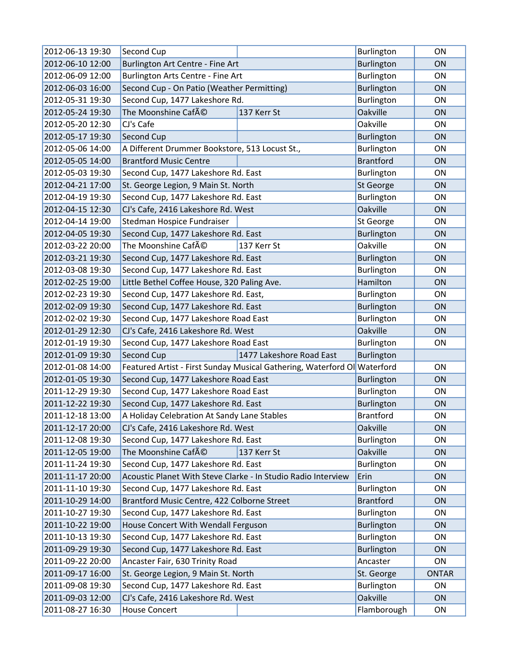| 2012-06-13 19:30 | Second Cup                                                                |                          | Burlington        | ON           |
|------------------|---------------------------------------------------------------------------|--------------------------|-------------------|--------------|
| 2012-06-10 12:00 | Burlington Art Centre - Fine Art                                          |                          | Burlington        | ON           |
| 2012-06-09 12:00 | Burlington Arts Centre - Fine Art                                         |                          | Burlington        | ON           |
| 2012-06-03 16:00 | Second Cup - On Patio (Weather Permitting)                                |                          | Burlington        | ON           |
| 2012-05-31 19:30 | Second Cup, 1477 Lakeshore Rd.                                            |                          | Burlington        | ON           |
| 2012-05-24 19:30 | The Moonshine Café                                                        | 137 Kerr St              | <b>Oakville</b>   | ON           |
| 2012-05-20 12:30 | CJ's Cafe                                                                 |                          | Oakville          | ON           |
| 2012-05-17 19:30 | Second Cup                                                                |                          | <b>Burlington</b> | ON           |
| 2012-05-06 14:00 | A Different Drummer Bookstore, 513 Locust St.,                            |                          | Burlington        | ON           |
| 2012-05-05 14:00 | <b>Brantford Music Centre</b>                                             |                          | <b>Brantford</b>  | ON           |
| 2012-05-03 19:30 | Second Cup, 1477 Lakeshore Rd. East                                       |                          | Burlington        | ON           |
| 2012-04-21 17:00 | St. George Legion, 9 Main St. North                                       |                          | St George         | ON           |
| 2012-04-19 19:30 | Second Cup, 1477 Lakeshore Rd. East                                       |                          | Burlington        | ON           |
| 2012-04-15 12:30 | CJ's Cafe, 2416 Lakeshore Rd. West                                        |                          | Oakville          | ON           |
| 2012-04-14 19:00 | Stedman Hospice Fundraiser                                                |                          | St George         | ON           |
| 2012-04-05 19:30 | Second Cup, 1477 Lakeshore Rd. East                                       |                          | Burlington        | ON           |
| 2012-03-22 20:00 | The Moonshine Café                                                        | 137 Kerr St              | Oakville          | ON           |
| 2012-03-21 19:30 | Second Cup, 1477 Lakeshore Rd. East                                       |                          | Burlington        | ON           |
| 2012-03-08 19:30 | Second Cup, 1477 Lakeshore Rd. East                                       |                          | Burlington        | ON           |
| 2012-02-25 19:00 | Little Bethel Coffee House, 320 Paling Ave.                               |                          | Hamilton          | ON           |
| 2012-02-23 19:30 | Second Cup, 1477 Lakeshore Rd. East,                                      |                          | Burlington        | ON           |
| 2012-02-09 19:30 | Second Cup, 1477 Lakeshore Rd. East                                       |                          | Burlington        | ON           |
| 2012-02-02 19:30 | Second Cup, 1477 Lakeshore Road East                                      |                          | Burlington        | ON           |
| 2012-01-29 12:30 | CJ's Cafe, 2416 Lakeshore Rd. West                                        |                          | Oakville          | ON           |
| 2012-01-19 19:30 | Second Cup, 1477 Lakeshore Road East                                      |                          | Burlington        | ON           |
| 2012-01-09 19:30 | Second Cup                                                                | 1477 Lakeshore Road East | <b>Burlington</b> |              |
| 2012-01-08 14:00 | Featured Artist - First Sunday Musical Gathering, Waterford Ol  Waterford |                          |                   | ON           |
| 2012-01-05 19:30 | Second Cup, 1477 Lakeshore Road East                                      |                          | Burlington        | ON           |
| 2011-12-29 19:30 | Second Cup, 1477 Lakeshore Road East                                      |                          | Burlington        | ON           |
| 2011-12-22 19:30 | Second Cup, 1477 Lakeshore Rd. East                                       |                          | <b>Burlington</b> | ON           |
| 2011-12-18 13:00 | A Holiday Celebration At Sandy Lane Stables                               |                          | <b>Brantford</b>  | ON           |
| 2011-12-17 20:00 | CJ's Cafe, 2416 Lakeshore Rd. West                                        |                          | Oakville          | ON           |
| 2011-12-08 19:30 | Second Cup, 1477 Lakeshore Rd. East                                       |                          | Burlington        | ON           |
| 2011-12-05 19:00 | The Moonshine Café                                                        | 137 Kerr St              | <b>Oakville</b>   | ON           |
| 2011-11-24 19:30 | Second Cup, 1477 Lakeshore Rd. East                                       |                          | Burlington        | ON           |
| 2011-11-17 20:00 | Acoustic Planet With Steve Clarke - In Studio Radio Interview             |                          | Erin              | ON           |
| 2011-11-10 19:30 | Second Cup, 1477 Lakeshore Rd. East                                       |                          | Burlington        | ON           |
| 2011-10-29 14:00 | Brantford Music Centre, 422 Colborne Street                               |                          | <b>Brantford</b>  | ON           |
| 2011-10-27 19:30 | Second Cup, 1477 Lakeshore Rd. East                                       |                          | Burlington        | ON           |
| 2011-10-22 19:00 | House Concert With Wendall Ferguson                                       |                          | Burlington        | ON           |
| 2011-10-13 19:30 | Second Cup, 1477 Lakeshore Rd. East                                       |                          | Burlington        | ON           |
| 2011-09-29 19:30 | Second Cup, 1477 Lakeshore Rd. East                                       |                          | <b>Burlington</b> | ON           |
| 2011-09-22 20:00 | Ancaster Fair, 630 Trinity Road                                           |                          | Ancaster          | ON           |
| 2011-09-17 16:00 | St. George Legion, 9 Main St. North                                       |                          | St. George        | <b>ONTAR</b> |
| 2011-09-08 19:30 | Second Cup, 1477 Lakeshore Rd. East                                       |                          | Burlington        | ON           |
| 2011-09-03 12:00 | CJ's Cafe, 2416 Lakeshore Rd. West                                        |                          | Oakville          | ON           |
| 2011-08-27 16:30 | <b>House Concert</b>                                                      |                          | Flamborough       | ON           |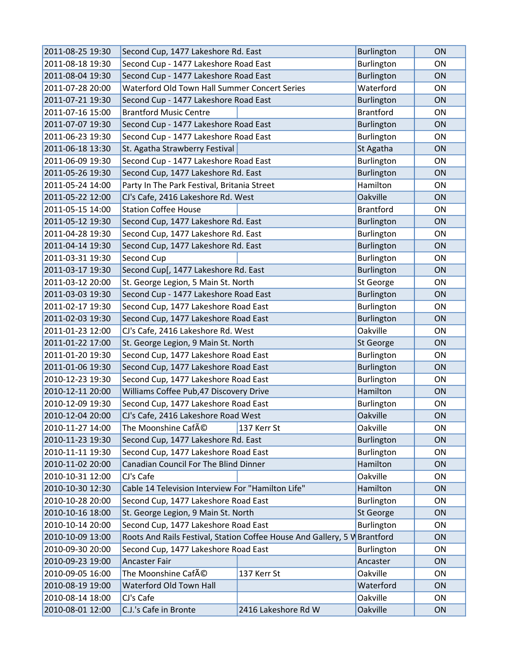| 2011-08-25 19:30 | Second Cup, 1477 Lakeshore Rd. East                                       |                     | Burlington        | ON |
|------------------|---------------------------------------------------------------------------|---------------------|-------------------|----|
| 2011-08-18 19:30 | Second Cup - 1477 Lakeshore Road East                                     |                     | Burlington        | ON |
| 2011-08-04 19:30 | Second Cup - 1477 Lakeshore Road East                                     |                     | <b>Burlington</b> | ON |
| 2011-07-28 20:00 | Waterford Old Town Hall Summer Concert Series                             |                     | Waterford         | ON |
| 2011-07-21 19:30 | Second Cup - 1477 Lakeshore Road East                                     |                     | <b>Burlington</b> | ON |
| 2011-07-16 15:00 | <b>Brantford Music Centre</b>                                             |                     | <b>Brantford</b>  | ON |
| 2011-07-07 19:30 | Second Cup - 1477 Lakeshore Road East                                     |                     | Burlington        | ON |
| 2011-06-23 19:30 | Second Cup - 1477 Lakeshore Road East                                     |                     | Burlington        | ON |
| 2011-06-18 13:30 | St. Agatha Strawberry Festival                                            |                     | St Agatha         | ON |
| 2011-06-09 19:30 | Second Cup - 1477 Lakeshore Road East                                     |                     | Burlington        | ON |
| 2011-05-26 19:30 | Second Cup, 1477 Lakeshore Rd. East                                       |                     | Burlington        | ON |
| 2011-05-24 14:00 | Party In The Park Festival, Britania Street                               |                     | Hamilton          | ON |
| 2011-05-22 12:00 | CJ's Cafe, 2416 Lakeshore Rd. West                                        |                     | Oakville          | ON |
| 2011-05-15 14:00 | <b>Station Coffee House</b>                                               |                     | <b>Brantford</b>  | ON |
| 2011-05-12 19:30 | Second Cup, 1477 Lakeshore Rd. East                                       |                     | Burlington        | ON |
| 2011-04-28 19:30 | Second Cup, 1477 Lakeshore Rd. East                                       |                     | Burlington        | ON |
| 2011-04-14 19:30 | Second Cup, 1477 Lakeshore Rd. East                                       |                     | <b>Burlington</b> | ON |
| 2011-03-31 19:30 | Second Cup                                                                |                     | Burlington        | ON |
| 2011-03-17 19:30 | Second Cup[, 1477 Lakeshore Rd. East                                      |                     | Burlington        | ON |
| 2011-03-12 20:00 | St. George Legion, 5 Main St. North                                       |                     | St George         | ON |
| 2011-03-03 19:30 | Second Cup - 1477 Lakeshore Road East                                     |                     | <b>Burlington</b> | ON |
| 2011-02-17 19:30 | Second Cup, 1477 Lakeshore Road East                                      |                     | Burlington        | ON |
| 2011-02-03 19:30 | Second Cup, 1477 Lakeshore Road East                                      |                     | Burlington        | ON |
| 2011-01-23 12:00 | CJ's Cafe, 2416 Lakeshore Rd. West                                        |                     | Oakville          | ON |
| 2011-01-22 17:00 | St. George Legion, 9 Main St. North                                       |                     | St George         | ON |
| 2011-01-20 19:30 | Second Cup, 1477 Lakeshore Road East                                      |                     | Burlington        | ON |
| 2011-01-06 19:30 | Second Cup, 1477 Lakeshore Road East                                      |                     | Burlington        | ON |
| 2010-12-23 19:30 | Second Cup, 1477 Lakeshore Road East                                      |                     | Burlington        | ON |
| 2010-12-11 20:00 | Williams Coffee Pub, 47 Discovery Drive                                   |                     | Hamilton          | ON |
| 2010-12-09 19:30 | Second Cup, 1477 Lakeshore Road East                                      |                     | Burlington        | ON |
| 2010-12-04 20:00 | CJ's Cafe, 2416 Lakeshore Road West                                       |                     | Oakville          | ON |
| 2010-11-27 14:00 | The Moonshine CafAO                                                       | 137 Kerr St         | Oakville          | ON |
| 2010-11-23 19:30 | Second Cup, 1477 Lakeshore Rd. East                                       |                     | <b>Burlington</b> | ON |
| 2010-11-11 19:30 | Second Cup, 1477 Lakeshore Road East                                      |                     | Burlington        | ON |
| 2010-11-02 20:00 | Canadian Council For The Blind Dinner                                     |                     | Hamilton          | ON |
| 2010-10-31 12:00 | CJ's Cafe                                                                 |                     | Oakville          | ON |
| 2010-10-30 12:30 | Cable 14 Television Interview For "Hamilton Life"                         |                     | Hamilton          | ON |
| 2010-10-28 20:00 | Second Cup, 1477 Lakeshore Road East                                      |                     | Burlington        | ON |
| 2010-10-16 18:00 | St. George Legion, 9 Main St. North                                       |                     | St George         | ON |
| 2010-10-14 20:00 | Second Cup, 1477 Lakeshore Road East                                      |                     | Burlington        | ON |
| 2010-10-09 13:00 | Roots And Rails Festival, Station Coffee House And Gallery, 5 W Brantford |                     |                   | ON |
| 2010-09-30 20:00 | Second Cup, 1477 Lakeshore Road East                                      |                     | Burlington        | ON |
| 2010-09-23 19:00 | Ancaster Fair                                                             |                     | Ancaster          | ON |
| 2010-09-05 16:00 | The Moonshine Café                                                        | 137 Kerr St         | Oakville          | ON |
| 2010-08-19 19:00 | Waterford Old Town Hall                                                   |                     | Waterford         | ON |
| 2010-08-14 18:00 | CJ's Cafe                                                                 |                     | Oakville          | ON |
| 2010-08-01 12:00 | C.J.'s Cafe in Bronte                                                     | 2416 Lakeshore Rd W | Oakville          | ON |